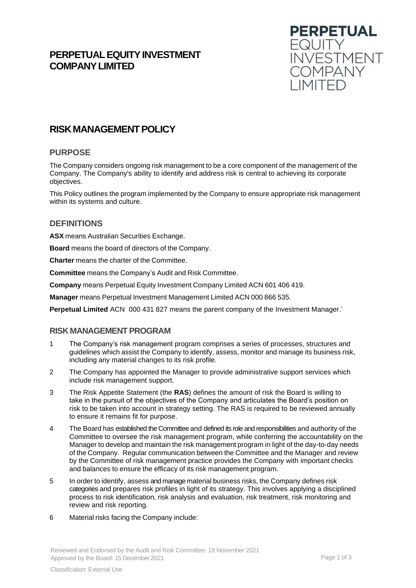# **PERPETUAL EQUITY INVESTMENT COMPANYLIMITED**



# **RISKMANAGEMENTPOLICY**

## **PURPOSE**

The Company considers ongoing risk management to be a core component of the management of the Company. The Company's ability to identify and address risk is central to achieving its corporate objectives.

This Policy outlines the program implemented by the Company to ensure appropriate risk management within its systems and culture.

## **DEFINITIONS**

**ASX** means Australian Securities Exchange.

**Board** means the board of directors of the Company.

**Charter** means the charter of the Committee.

**Committee** means the Company's Audit and Risk Committee.

**Company** means Perpetual Equity Investment Company Limited ACN 601 406 419.

**Manager** means Perpetual Investment Management Limited ACN 000 866 535.

**Perpetual Limited** ACN 000 431 827 means the parent company of the Investment Manager.'

## **RISK MANAGEMENT PROGRAM**

- 1 The Company's risk management program comprises a series of processes, structures and guidelines which assist the Company to identify, assess, monitor and manage its business risk, including any material changes to its risk profile.
- 2 The Company has appointed the Manager to provide administrative support services which include risk management support.
- 3 The Risk Appetite Statement (the **RAS**) defines the amount of risk the Board is willing to take in the pursuit of the objectives of the Company and articulates the Board's position on risk to be taken into account in strategy setting. The RAS is required to be reviewed annually to ensure it remains fit for purpose.
- 4 The Board has established the Committee and defined its role and responsibilities and authority of the Committee to oversee the risk management program, while conferring the accountability on the Manager to develop and maintain the risk management program in light of the day-to-day needs of the Company. Regular communication between the Committee and the Manager and review by the Committee of risk management practice provides the Company with important checks and balances to ensure the efficacy of its risk management program.
- 5 In order to identify, assess and manage material business risks, the Company defines risk categories and prepares risk profiles in light of its strategy. This involves applying a disciplined process to risk identification, risk analysis and evaluation, risk treatment, risk monitoring and review and risk reporting.
- 6 Material risks facing the Company include:

Reviewed and Endorsed by the Audit and Risk Committee: 18 November 2021 Approved by the Board: 15 December 2021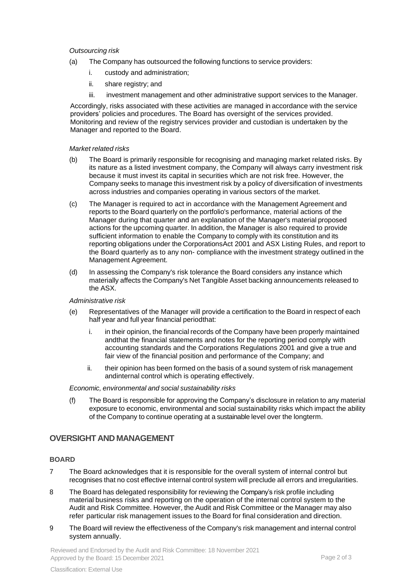#### *Outsourcing risk*

- (a) The Company has outsourced the following functions to service providers:
	- i. custody and administration;
	- ii. share registry; and
	- iii. investment management and other administrative support services to the Manager.

Accordingly, risks associated with these activities are managed in accordance with the service providers' policies and procedures. The Board has oversight of the services provided. Monitoring and review of the registry services provider and custodian is undertaken by the Manager and reported to the Board.

#### *Market related risks*

- (b) The Board is primarily responsible for recognising and managing market related risks. By its nature as a listed investment company, the Company will always carry investment risk because it must invest its capital in securities which are not risk free. However, the Company seeks to manage this investment risk by a policy of diversification of investments across industries and companies operating in various sectors of the market.
- (c) The Manager is required to act in accordance with the Management Agreement and reports to the Board quarterly on the portfolio's performance, material actions of the Manager during that quarter and an explanation of the Manager's material proposed actions for the upcoming quarter. In addition, the Manager is also required to provide sufficient information to enable the Company to comply with its constitution and its reporting obligations under the CorporationsAct 2001 and ASX Listing Rules, and report to the Board quarterly as to any non- compliance with the investment strategy outlined in the Management Agreement.
- (d) In assessing the Company's risk tolerance the Board considers any instance which materially affects the Company's Net Tangible Asset backing announcements released to the ASX.

#### *Administrative risk*

- (e) Representatives of the Manager will provide a certification to the Board in respect of each half year and full year financial periodthat:
	- i. in their opinion, the financial records of the Company have been properly maintained andthat the financial statements and notes for the reporting period comply with accounting standards and the Corporations Regulations 2001 and give a true and fair view of the financial position and performance of the Company; and
	- ii. their opinion has been formed on the basis of a sound system of risk management andinternal control which is operating effectively.

#### *Economic, environmental and social sustainability risks*

(f) The Board is responsible for approving the Company's disclosure in relation to any material exposure to economic, environmental and social sustainability risks which impact the ability of the Company to continue operating at a sustainable level over the longterm.

### **OVERSIGHT AND MANAGEMENT**

#### **BOARD**

- 7 The Board acknowledges that it is responsible for the overall system of internal control but recognises that no cost effective internal control system will preclude all errors and irregularities.
- 8 The Board has delegated responsibility for reviewing the Company's risk profile including material business risks and reporting on the operation of the internal control system to the Audit and Risk Committee. However, the Audit and Risk Committee or the Manager may also refer particular risk management issues to the Board for final consideration and direction.
- 9 The Board will review the effectiveness of the Company's risk management and internal control system annually.

Reviewed and Endorsed by the Audit and Risk Committee: 18 November 2021 Approved by the Board: 15 December 2021